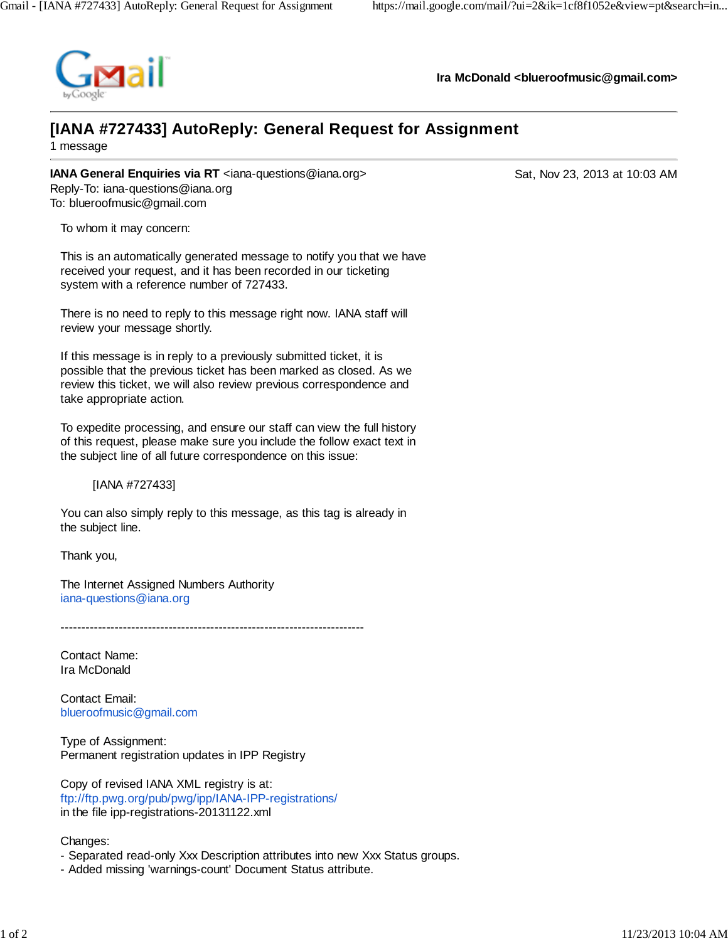

**Ira McDonald <blueroofmusic@gmail.com>**

## **[IANA #727433] AutoReply: General Request for Assignment**

1 message

**IANA General Enquiries via RT** <iana-questions@iana.org> Sat, Nov 23, 2013 at 10:03 AM Reply-To: iana-questions@iana.org To: blueroofmusic@gmail.com

To whom it may concern:

This is an automatically generated message to notify you that we have received your request, and it has been recorded in our ticketing system with a reference number of 727433.

There is no need to reply to this message right now. IANA staff will review your message shortly.

If this message is in reply to a previously submitted ticket, it is possible that the previous ticket has been marked as closed. As we review this ticket, we will also review previous correspondence and take appropriate action.

To expedite processing, and ensure our staff can view the full history of this request, please make sure you include the follow exact text in the subject line of all future correspondence on this issue:

[IANA #727433]

You can also simply reply to this message, as this tag is already in the subject line.

Thank you,

The Internet Assigned Numbers Authority iana-questions@iana.org

 $-$ 

Contact Name: Ira McDonald

Contact Email: blueroofmusic@gmail.com

Type of Assignment: Permanent registration updates in IPP Registry

Copy of revised IANA XML registry is at: ftp://ftp.pwg.org/pub/pwg/ipp/IANA-IPP-registrations/ in the file ipp-registrations-20131122.xml

Changes:

- Separated read-only Xxx Description attributes into new Xxx Status groups.
- Added missing 'warnings-count' Document Status attribute.